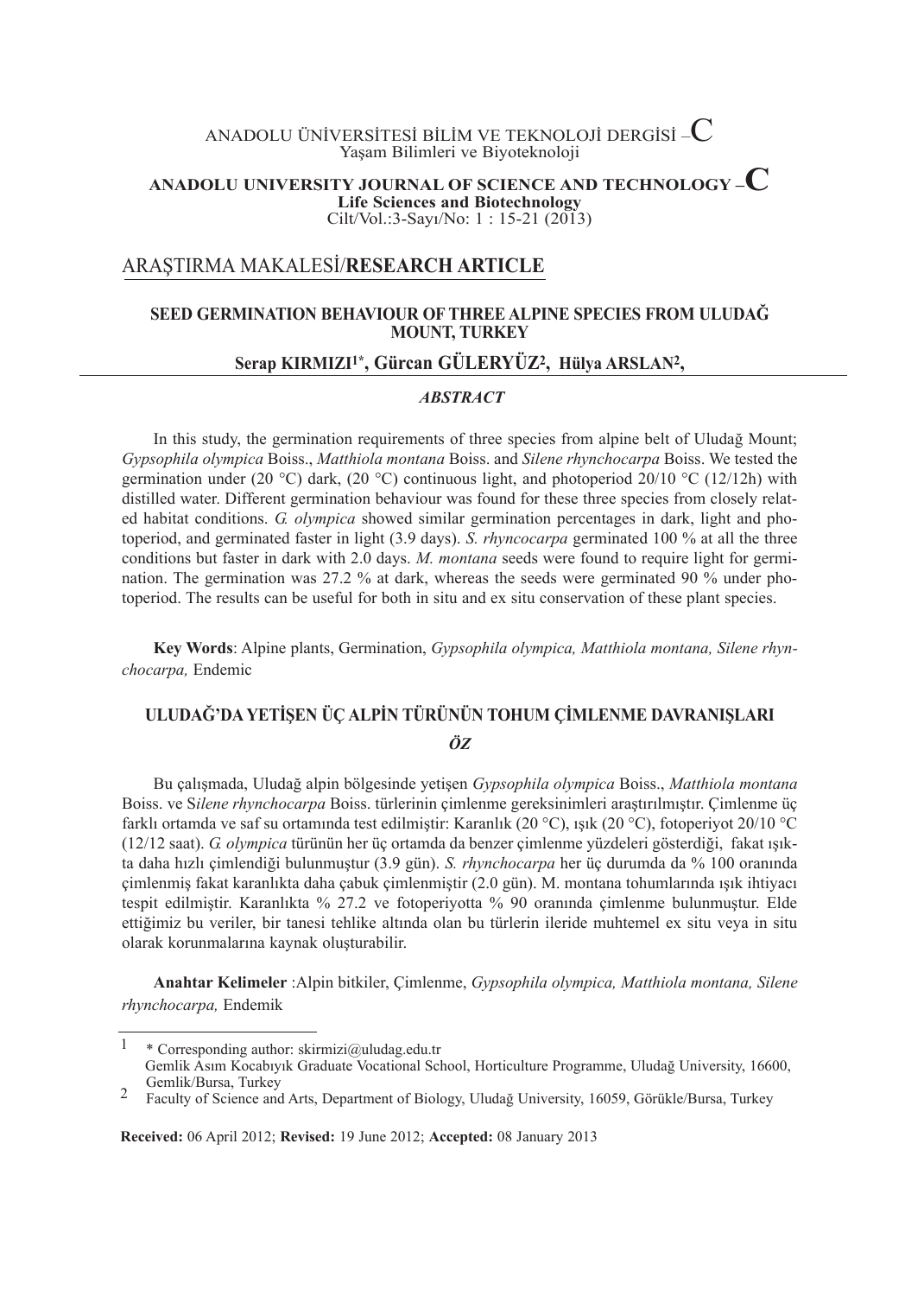# ANADOLU ÜNİVERSİTESİ BİLİM VE TEKNOLOJİ DERGİSİ – $\mathbf C$ Yaşam Bilimleri ve Biyoteknoloji

## **ANADOLUUNIVERSITYJOURNALOFSCIENCEANDTECHNOLOGY–C Life Sciences and Biotechnology** Cilt/Vol.:3-Sayı/No: 1 : 15-21 (2013)

# ARAŞTIRMA MAKALESİ/**RESEARCHARTICLE**

# **SEEDGERMINATIONBEHAVIOUROFTHREEALPINESPECIESFROMULUDAĞ MOUNT,TURKEY**

# **SerapKIRMIZI1\*,GürcanGÜLERYÜZ2, HülyaARSLAN2,**

### *ABSTRACT*

In this study, the germination requirements of three species from alpine belt of Uludağ Mount; *Gypsophila olympica* Boiss., *Matthiola montana* Boiss. and *Silene rhynchocarpa* Boiss. We tested the germination under (20 °C) dark, (20 °C) continuous light, and photoperiod 20/10 °C (12/12h) with distilled water. Different germination behaviour was found for these three species from closely related habitat conditions. *G. olympica* showed similar germination percentages in dark, light and photoperiod, and germinated faster in light (3.9 days). *S. rhyncocarpa* germinated 100 % at all the three conditions but faster in dark with 2.0 days. *M. montana* seeds were found to require light for germination. The germination was 27.2 % at dark, whereas the seeds were germinated 90 % under photoperiod. The results can be useful for both in situ and ex situ conservation of these plant species.

**KeyWords**: Alpine plants, Germination, *Gypsophila olympica, Matthiola montana, Silene rhynchocarpa,* Endemic

# **ULUDAĞ'DAYETİŞENÜÇALPİNTÜRÜNÜNTOHUMÇİMLENMEDAVRANIŞLARI** *ÖZ*

Bu çalışmada, Uludağ alpin bölgesinde yetişen *Gypsophila olympica* Boiss., *Matthiola montana* Boiss. ve S*ilene rhynchocarpa* Boiss. türlerinin çimlenme gereksinimleri araştırılmıştır. Çimlenme üç farklı ortamda ve saf su ortamında test edilmiştir: Karanlık (20 °C), ışık (20 °C), fotoperiyot 20/10 °C (12/12 saat). *G. olympica* türünün her üç ortamda da benzer çimlenme yüzdeleri gösterdiği, fakat ışıkta daha hızlı çimlendiği bulunmuştur (3.9 gün). *S. rhynchocarpa* her üç durumda da % 100 oranında çimlenmiş fakat karanlıkta daha çabuk çimlenmiştir (2.0 gün). M. montana tohumlarında ışık ihtiyacı tespit edilmiştir. Karanlıkta % 27.2 ve fotoperiyotta % 90 oranında çimlenme bulunmuştur. Elde ettiğimiz bu veriler, bir tanesi tehlike altında olan bu türlerin ileride muhtemel ex situ veya in situ olarak korunmalarına kaynak oluşturabilir.

**AnahtarKelimeler**:Alpin bitkiler, Çimlenme, *Gypsophila olympica, Matthiola montana, Silene rhynchocarpa,* Endemik

**Received:**06 April 2012; **Revised:**19 June 2012; **Accepted:**08 January 2013

<sup>&</sup>lt;sup>1</sup> \* Corresponding author: skirmizi@uludag.edu.tr Gemlik Asım Kocabıyık Graduate Vocational School, Horticulture Programme, Uludağ University, 16600, Gemlik/Bursa, Turkey <sup>2</sup> Faculty of Science and Arts, Department of Biology, Uludağ University, 16059, Görükle/Bursa, Turkey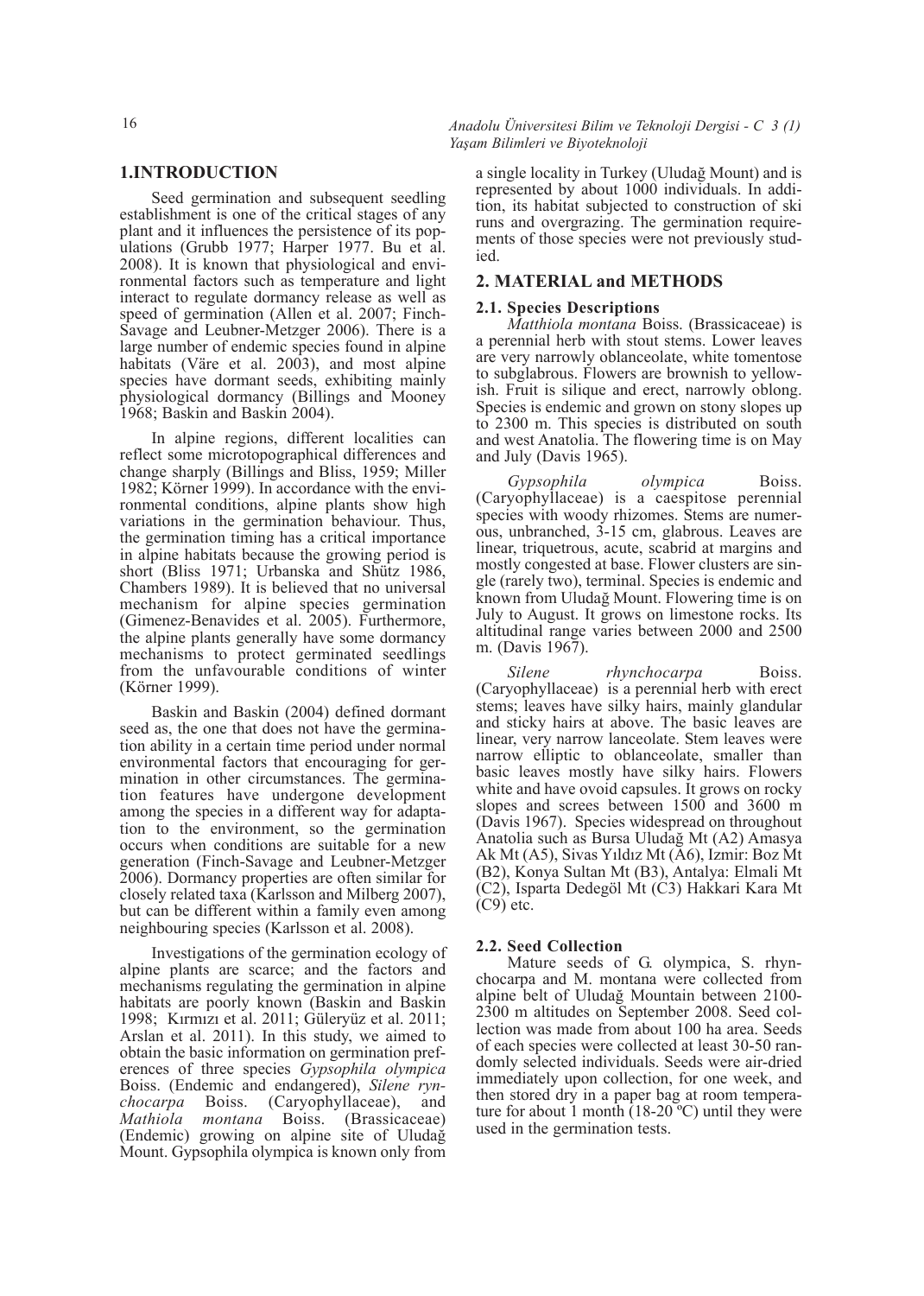**1.INTRODUCTION**

Seed germination and subsequent seedling establishment is one of the critical stages of any plant and it influences the persistence of its populations (Grubb 1977; Harper 1977. Bu et al. 2008). It is known that physiological and environmental factors such as temperature and light interact to regulate dormancy release as well as speed of germination (Allen et al. 2007; Finch-Savage and Leubner-Metzger 2006). There is a large number of endemic species found in alpine habitats (Väre et al. 2003), and most alpine species have dormant seeds, exhibiting mainly physiological dormancy (Billings and Mooney 1968; Baskin and Baskin 2004).

In alpine regions, different localities can reflect some microtopographical differences and change sharply (Billings and Bliss, 1959; Miller 1982; Körner 1999). In accordance with the environmental conditions, alpine plants show high variations in the germination behaviour. Thus, the germination timing has a critical importance in alpine habitats because the growing period is short (Bliss 1971; Urbanska and Shütz 1986, Chambers 1989). It is believed that no universal mechanism for alpine species germination (Gimenez-Benavides et al. 2005). Furthermore, the alpine plants generally have some dormancy mechanisms to protect germinated seedlings from the unfavourable conditions of winter (Körner 1999).

Baskin and Baskin (2004) defined dormant seed as, the one that does not have the germination ability in a certain time period under normal environmental factors that encouraging for germination in other circumstances. The germination features have undergone development among the species in a different way for adaptation to the environment, so the germination occurs when conditions are suitable for a new generation (Finch-Savage and Leubner-Metzger 2006). Dormancy properties are often similar for closely related taxa (Karlsson and Milberg 2007), but can be different within a family even among neighbouring species (Karlsson et al. 2008).

Investigations of the germination ecology of alpine plants are scarce; and the factors and mechanisms regulating the germination in alpine habitats are poorly known (Baskin and Baskin 1998; Kırmızı et al. 2011; Güleryüz et al. 2011; Arslan et al. 2011). In this study, we aimed to obtain the basic information on germination preferences of three species *Gypsophila olympica* Boiss. (Endemic and endangered), *Silene rynchocarpa* Boiss. (Caryophyllaceae), and *Mathiola montana* Boiss. (Brassicaceae) (Endemic) growing on alpine site of Uludağ Mount. Gypsophila olympica is known only from

16 *Anadolu Üniversitesi Bilim ve Teknoloji Dergisi - C 3 (1) Yaşam Bilimleri ve Biyoteknoloji*

> a single locality in Turkey (Uludağ Mount) and is represented by about 1000 individuals. In addition, its habitat subjected to construction of ski runs and overgrazing. The germination requirements of those species were not previously studied.

### **2.MATERIALandMETHODS**

#### **2.1. Species Descriptions**

*Matthiola montana* Boiss. (Brassicaceae) is a perennial herb with stout stems. Lower leaves are very narrowly oblanceolate, white tomentose to subglabrous. Flowers are brownish to yellowish. Fruit is silique and erect, narrowly oblong. Species is endemic and grown on stony slopes up to 2300 m. This species is distributed on south and west Anatolia. The flowering time is on May and July (Davis 1965).

*Gypsophila olympica* Boiss. (Caryophyllaceae) is a caespitose perennial species with woody rhizomes. Stems are numerous, unbranched, 3-15 cm, glabrous. Leaves are linear, triquetrous, acute, scabrid at margins and mostly congested at base. Flower clusters are single (rarely two), terminal. Species is endemic and known from Uludağ Mount. Flowering time is on July to August. It grows on limestone rocks. Its altitudinal range varies between 2000 and 2500 m. (Davis 1967).

*Silene rhynchocarpa* Boiss. (Caryophyllaceae) is a perennial herb with erect stems; leaves have silky hairs, mainly glandular and sticky hairs at above. The basic leaves are linear, very narrow lanceolate. Stem leaves were narrow elliptic to oblanceolate, smaller than basic leaves mostly have silky hairs. Flowers white and have ovoid capsules. It grows on rocky slopes and screes between 1500 and 3600 m (Davis 1967). Species widespread on throughout Anatolia such as Bursa Uludağ Mt (A2) Amasya Ak Mt (A5), Sivas Yıldız Mt (A6), Izmir: Boz Mt (B2), Konya Sultan Mt (B3), Antalya: Elmali Mt (C2), Isparta Dedegöl Mt (C3) Hakkari Kara Mt  $(C9)$  etc.

#### 2.2. Seed Collection

Mature seeds of G. olympica, S. rhynchocarpa and M. montana were collected from alpine belt of Uludağ Mountain between 2100- 2300 m altitudes on September 2008. Seed collection was made from about 100 ha area. Seeds of each species were collected at least 30-50 randomly selected individuals. Seeds were air-dried immediately upon collection, for one week, and then stored dry in a paper bag at room temperature for about 1 month  $(18-20^{\circ}C)$  until they were used in the germination tests.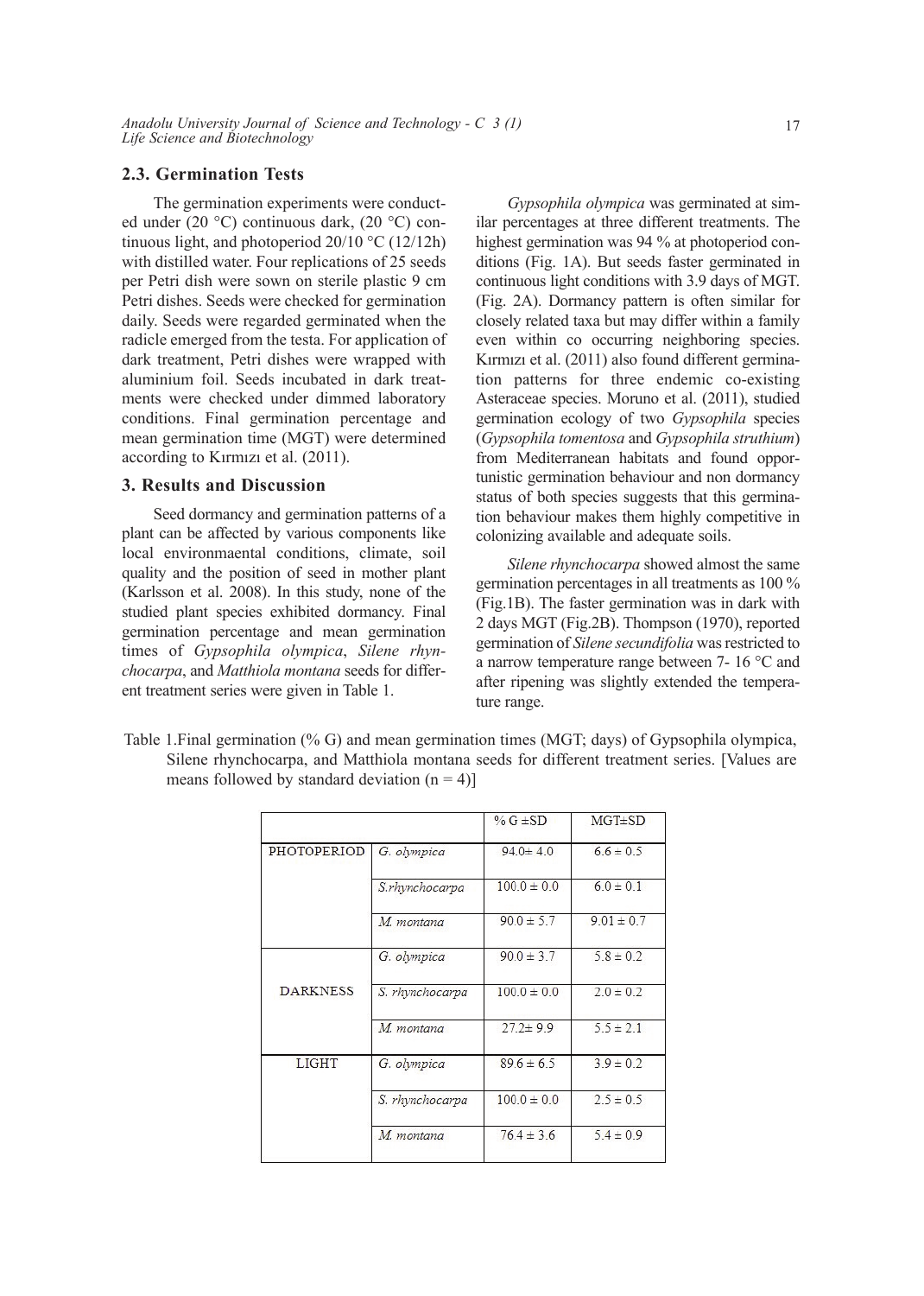## **2.3. Germination Tests**

The germination experiments were conducted under (20 °C) continuous dark, (20 °C) continuous light, and photoperiod 20/10 °C (12/12h) with distilled water. Four replications of 25 seeds per Petri dish were sown on sterile plastic 9 cm Petri dishes. Seeds were checked for germination daily. Seeds were regarded germinated when the radicle emerged from the testa. For application of dark treatment, Petri dishes were wrapped with aluminium foil. Seeds incubated in dark treatments were checked under dimmed laboratory conditions. Final germination percentage and mean germination time (MGT) were determined according to Kırmızı et al. (2011).

### **3. Results and Discussion**

Seed dormancy and germination patterns of a plant can be affected by various components like local environmaental conditions, climate, soil quality and the position of seed in mother plant (Karlsson et al. 2008). In this study, none of the studied plant species exhibited dormancy. Final germination percentage and mean germination times of *Gypsophila olympica*, *Silene rhynchocarpa*, and *Matthiola montana* seeds for different treatment series were given in Table 1.

*Gypsophila olympica* was germinated at similar percentages at three different treatments. The highest germination was 94 % at photoperiod conditions (Fig. 1A). But seeds faster germinated in continuous light conditions with 3.9 days of MGT. (Fig. 2A). Dormancy pattern is often similar for closely related taxa but may differ within a family even within co occurring neighboring species. Kırmızı et al. (2011) also found different germination patterns for three endemic co-existing Asteraceae species. Moruno et al. (2011), studied germination ecology of two *Gypsophila* species (*Gypsophila tomentosa* and *Gypsophila struthium*) from Mediterranean habitats and found opportunistic germination behaviour and non dormancy status of both species suggests that this germination behaviour makes them highly competitive in colonizing available and adequate soils.

*Silene rhynchocarpa* showed almost the same germination percentages in all treatments as 100 % (Fig.1B). The faster germination was in dark with 2 days MGT (Fig.2B). Thompson (1970), reported germination of *Silene secundifolia* was restricted to a narrow temperature range between 7- 16 °C and after ripening was slightly extended the temperature range.

Table 1.Final germination (% G) and mean germination times (MGT; days) of Gypsophila olympica, Silene rhynchocarpa, and Matthiola montana seeds for different treatment series. [Values are means followed by standard deviation  $(n = 4)$ ]

|                 |                 | % $G \pm SD$    | $MGT \pm SD$   |
|-----------------|-----------------|-----------------|----------------|
| PHOTOPERIOD     | G. olympica     | $94.0 \pm 4.0$  | $6.6 \pm 0.5$  |
|                 | S.rhynchocarpa  | $1000 \pm 0.0$  | $60 \pm 0.1$   |
|                 | M. montana      | $90.0 \pm 5.7$  | $9.01 \pm 0.7$ |
|                 | G. olympica     | $90.0 \pm 3.7$  | $5.8 \pm 0.2$  |
| <b>DARKNESS</b> | S. rhynchocarpa | $100.0 \pm 0.0$ | $2.0 \pm 0.2$  |
|                 | M. montana      | $27.2 \pm 9.9$  | $5.5 \pm 2.1$  |
| <b>LIGHT</b>    | G. olympica     | $896 \pm 65$    | $39 \pm 02$    |
|                 | S. rhynchocarpa | $100.0 \pm 0.0$ | $2.5 \pm 0.5$  |
|                 | M. montana      | $76.4 \pm 3.6$  | $5.4 \pm 0.9$  |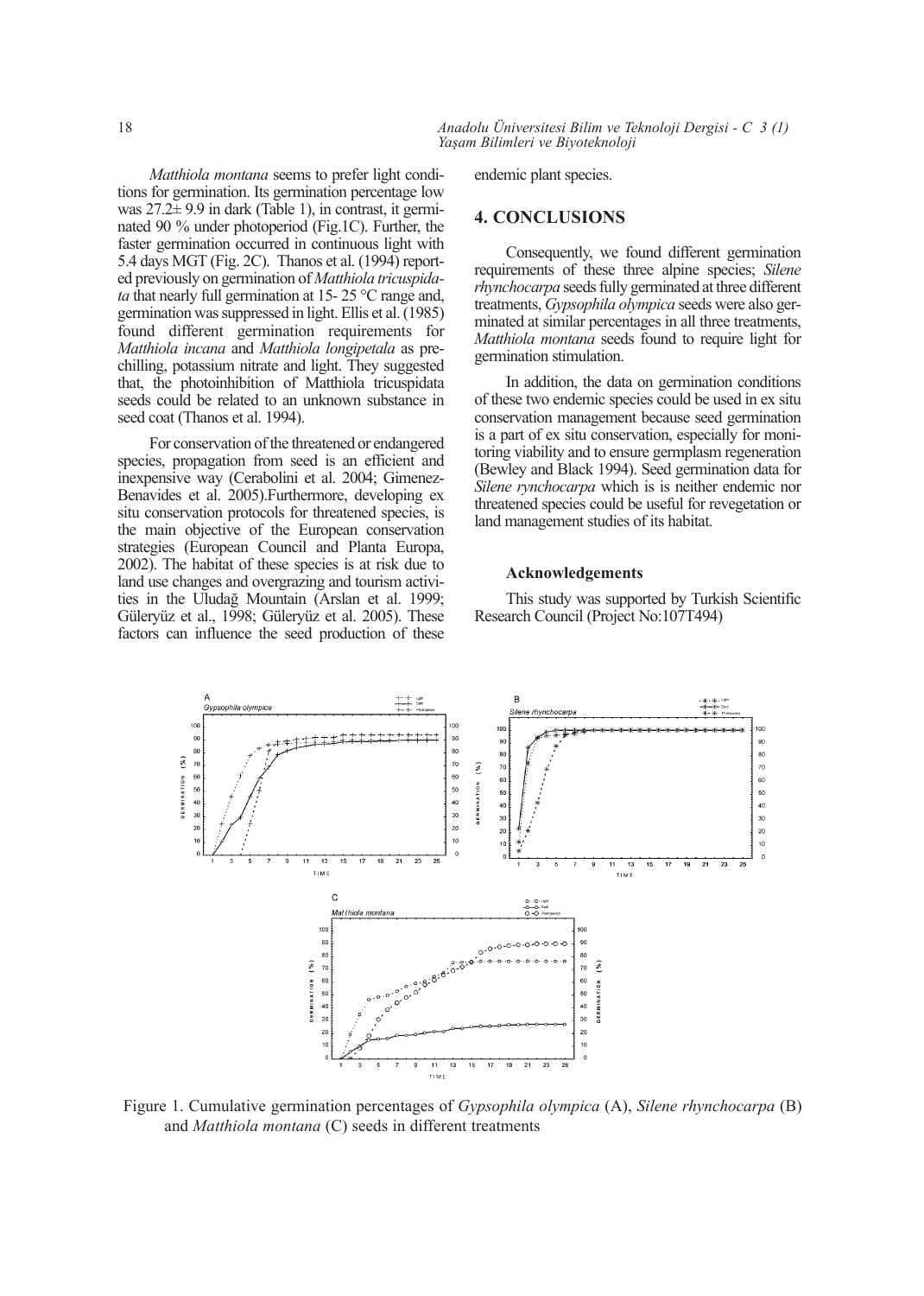*Matthiola montana* seems to prefer light conditions for germination. Its germination percentage low was 27.2± 9.9 in dark (Table 1), in contrast, it germinated 90 % under photoperiod (Fig.1C). Further, the faster germination occurred in continuous light with 5.4 days MGT (Fig. 2C). Thanos et al. (1994) reported previously on germination of *Matthiola tricuspidata* that nearly full germination at 15- 25 °C range and, germination was suppressed in light. Ellis et al. (1985) found different germination requirements for *Matthiola incana* and *Matthiola longipetala* as prechilling, potassium nitrate and light. They suggested that, the photoinhibition of Matthiola tricuspidata seeds could be related to an unknown substance in seed coat (Thanos et al. 1994).

For conservation of the threatened or endangered species, propagation from seed is an efficient and inexpensive way (Cerabolini et al. 2004; Gimenez-Benavides et al. 2005).Furthermore, developing ex situ conservation protocols for threatened species, is the main objective of the European conservation strategies (European Council and Planta Europa, 2002). The habitat of these species is at risk due to land use changes and overgrazing and tourism activities in the Uludağ Mountain (Arslan et al. 1999; Güleryüz et al., 1998; Güleryüz et al. 2005). These factors can influence the seed production of these

18 *Anadolu Üniversitesi Bilim ve Teknoloji Dergisi - C 3 (1) Yaşam Bilimleri ve Biyoteknoloji*

endemic plant species.

### **4.CONCLUSIONS**

Consequently, we found different germination requirements of these three alpine species; *Silene rhynchocarpa* seeds fully germinated at three different treatments, *Gypsophila olympica* seeds were also germinated at similar percentages in all three treatments, *Matthiola montana* seeds found to require light for germination stimulation.

In addition, the data on germination conditions of these two endemic species could be used in ex situ conservation management because seed germination is a part of ex situ conservation, especially for monitoring viability and to ensure germplasm regeneration (Bewley and Black 1994). Seed germination data for *Silene rynchocarpa* which is is neither endemic nor threatened species could be useful for revegetation or land management studies of its habitat.

#### **Acknowledgements**

This study was supported by Turkish Scientific Research Council (Project No:107T494)



Figure 1. Cumulative germination percentages of *Gypsophila olympica* (A), *Silene rhynchocarpa* (B) and *Matthiola montana* (C) seeds in different treatments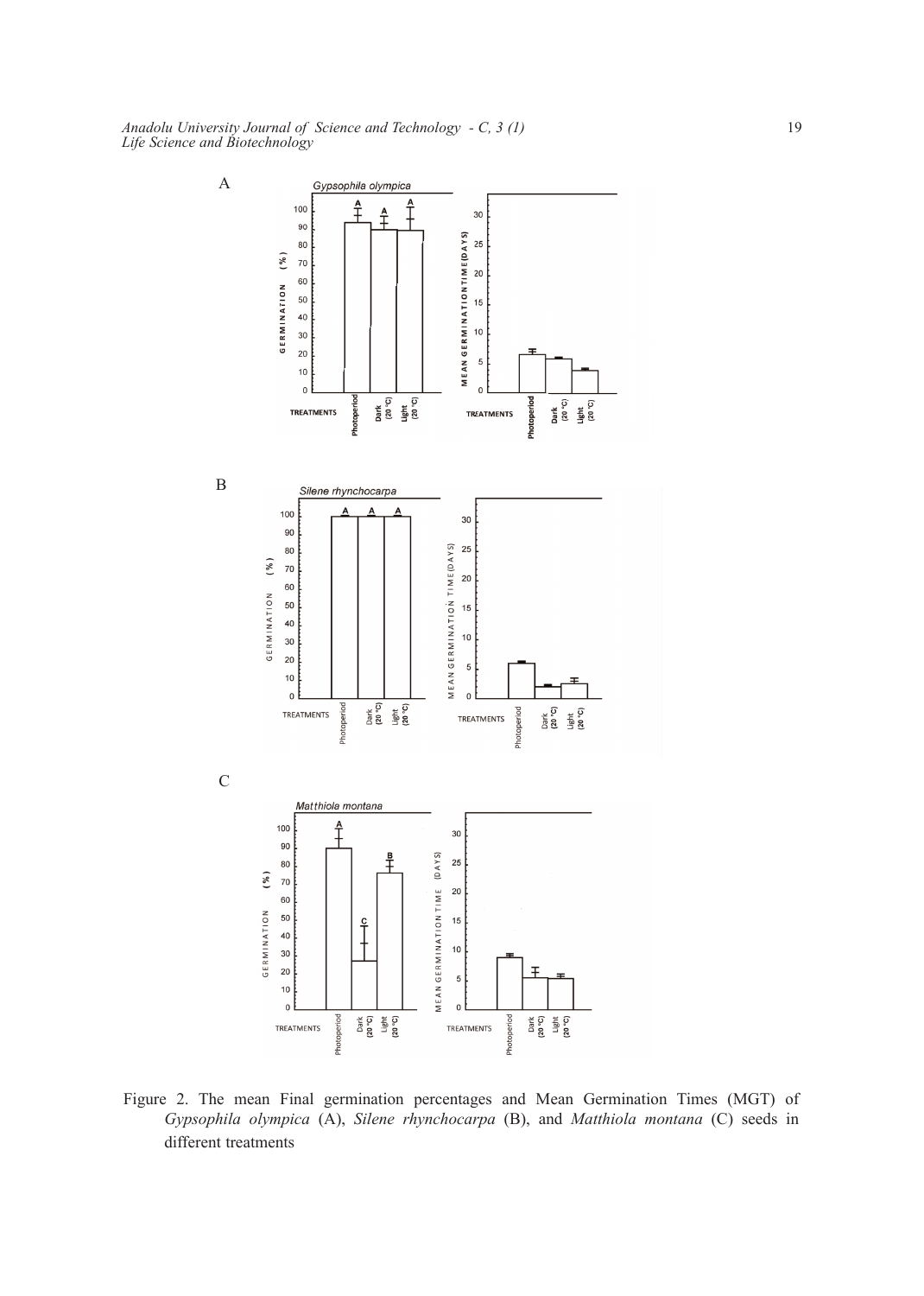

Figure 2. The mean Final germination percentages and Mean Germination Times (MGT) of *Gypsophila olympica* (A), *Silene rhynchocarpa* (B), and *Matthiola montana* (C) seeds in different treatments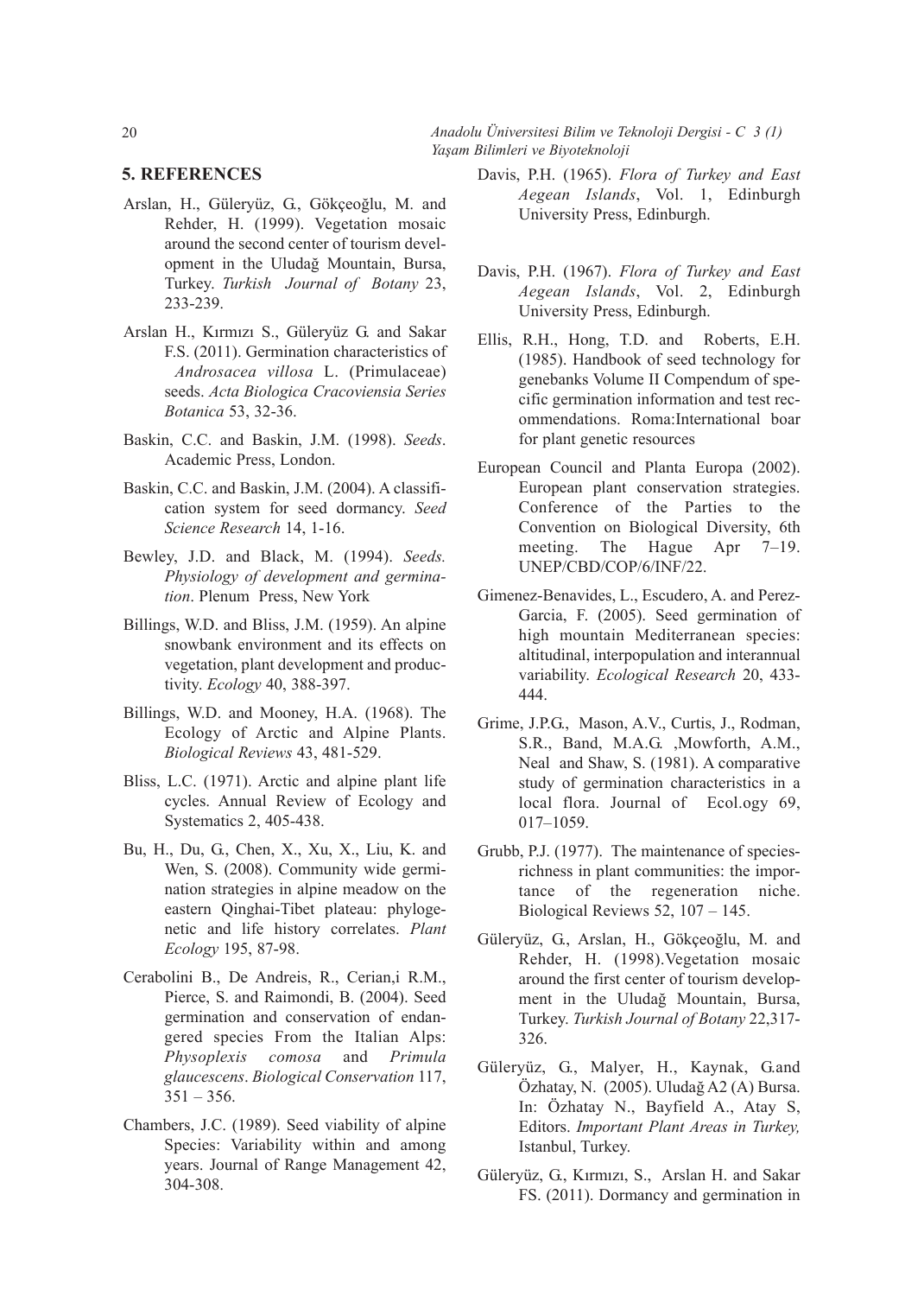20 *Anadolu Üniversitesi Bilim ve Teknoloji Dergisi - C 3 (1) Yaşam Bilimleri ve Biyoteknoloji*

## **5.REFERENCES**

- Arslan, H., Güleryüz, G., Gökçeoğlu, M. and Rehder, H. (1999). Vegetation mosaic around the second center of tourism development in the Uludağ Mountain, Bursa, Turkey. *Turkish Journal of Botany* 23, 233-239.
- Arslan H., Kırmızı S., Güleryüz G. and Sakar F.S. (2011). Germination characteristics of *Androsacea villosa* L. (Primulaceae) seeds. *Acta Biologica Cracoviensia Series Botanica* 53, 32-36.
- Baskin, C.C. and Baskin, J.M. (1998). *Seeds*. Academic Press, London.
- Baskin, C.C. and Baskin, J.M. (2004). A classification system for seed dormancy. *Seed Science Research* 14, 1-16.
- Bewley, J.D. and Black, M. (1994). *Seeds. Physiology of development and germination*. Plenum Press, New York
- Billings, W.D. and Bliss, J.M. (1959). An alpine snowbank environment and its effects on vegetation, plant development and productivity. *Ecology* 40, 388-397.
- Billings, W.D. and Mooney, H.A. (1968). The Ecology of Arctic and Alpine Plants. *Biological Reviews* 43, 481-529.
- Bliss, L.C. (1971). Arctic and alpine plant life cycles. Annual Review of Ecology and Systematics 2, 405-438.
- Bu, H., Du, G., Chen, X., Xu, X., Liu, K. and Wen, S. (2008). Community wide germination strategies in alpine meadow on the eastern Qinghai-Tibet plateau: phylogenetic and life history correlates. *Plant Ecology* 195, 87-98.
- Cerabolini B., De Andreis, R., Cerian,i R.M., Pierce, S. and Raimondi, B. (2004). Seed germination and conservation of endangered species From the Italian Alps: *Physoplexis comosa* and *Primula glaucescens*. *Biological Conservation* 117,  $351 - 356$ .
- Chambers, J.C. (1989). Seed viability of alpine Species: Variability within and among years. Journal of Range Management 42, 304-308.
- Davis, P.H. (1965). *Flora of Turkey and East Aegean Islands*, Vol. 1, Edinburgh University Press, Edinburgh.
- Davis, P.H. (1967). *Flora of Turkey and East Aegean Islands*, Vol. 2, Edinburgh University Press, Edinburgh.
- Ellis, R.H., Hong, T.D. and Roberts, E.H. (1985). Handbook of seed technology for genebanks Volume II Compendum of specific germination information and test recommendations. Roma:International boar for plant genetic resources
- European Council and Planta Europa (2002). European plant conservation strategies. Conference of the Parties to the Convention on Biological Diversity, 6th meeting. The Hague Apr 7–19. UNEP/CBD/COP/6/INF/22.
- Gimenez-Benavides, L., Escudero, A. and Perez-Garcia, F. (2005). Seed germination of high mountain Mediterranean species: altitudinal, interpopulation and interannual variability. *Ecological Research* 20, 433- 444.
- Grime, J.P.G., Mason, A.V., Curtis, J., Rodman, S.R., Band, M.A.G. ,Mowforth, A.M., Neal and Shaw, S. (1981). A comparative study of germination characteristics in a local flora. Journal of Ecol.ogy 69, 017–1059.
- Grubb, P.J. (1977). The maintenance of speciesrichness in plant communities: the importance of the regeneration niche. Biological Reviews 52, 107 – 145.
- Güleryüz, G., Arslan, H., Gökçeoğlu, M. and Rehder, H. (1998).Vegetation mosaic around the first center of tourism development in the Uludağ Mountain, Bursa, Turkey. *Turkish Journal of Botany* 22,317- 326.
- Güleryüz, G., Malyer, H., Kaynak, G.and Özhatay, N. (2005). Uludağ A2 (A) Bursa. In: Özhatay N., Bayfield A., Atay S, Editors. *Important Plant Areas in Turkey,* Istanbul, Turkey.
- Güleryüz, G., Kırmızı, S., Arslan H. and Sakar FS. (2011). Dormancy and germination in